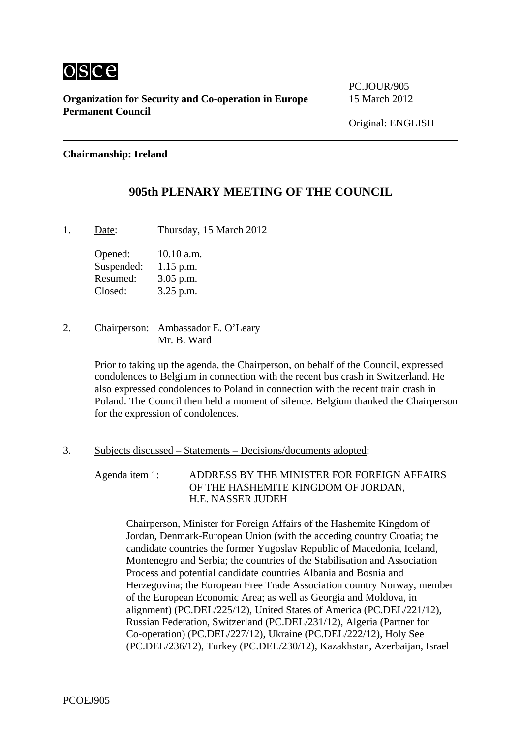

**Organization for Security and Co-operation in Europe** 15 March 2012 **Permanent Council** 

PC.JOUR/905

## **Chairmanship: Ireland**

# **905th PLENARY MEETING OF THE COUNCIL**

1. Date: Thursday, 15 March 2012

Opened: 10.10 a.m. Suspended: 1.15 p.m. Resumed: 3.05 p.m. Closed: 3.25 p.m.

2. Chairperson: Ambassador E. O'Leary Mr. B. Ward

> Prior to taking up the agenda, the Chairperson, on behalf of the Council, expressed condolences to Belgium in connection with the recent bus crash in Switzerland. He also expressed condolences to Poland in connection with the recent train crash in Poland. The Council then held a moment of silence. Belgium thanked the Chairperson for the expression of condolences.

### 3. Subjects discussed – Statements – Decisions/documents adopted:

Agenda item 1: ADDRESS BY THE MINISTER FOR FOREIGN AFFAIRS OF THE HASHEMITE KINGDOM OF JORDAN, H.E. NASSER JUDEH

Chairperson, Minister for Foreign Affairs of the Hashemite Kingdom of Jordan, Denmark-European Union (with the acceding country Croatia; the candidate countries the former Yugoslav Republic of Macedonia, Iceland, Montenegro and Serbia; the countries of the Stabilisation and Association Process and potential candidate countries Albania and Bosnia and Herzegovina; the European Free Trade Association country Norway, member of the European Economic Area; as well as Georgia and Moldova, in alignment) (PC.DEL/225/12), United States of America (PC.DEL/221/12), Russian Federation, Switzerland (PC.DEL/231/12), Algeria (Partner for Co-operation) (PC.DEL/227/12), Ukraine (PC.DEL/222/12), Holy See (PC.DEL/236/12), Turkey (PC.DEL/230/12), Kazakhstan, Azerbaijan, Israel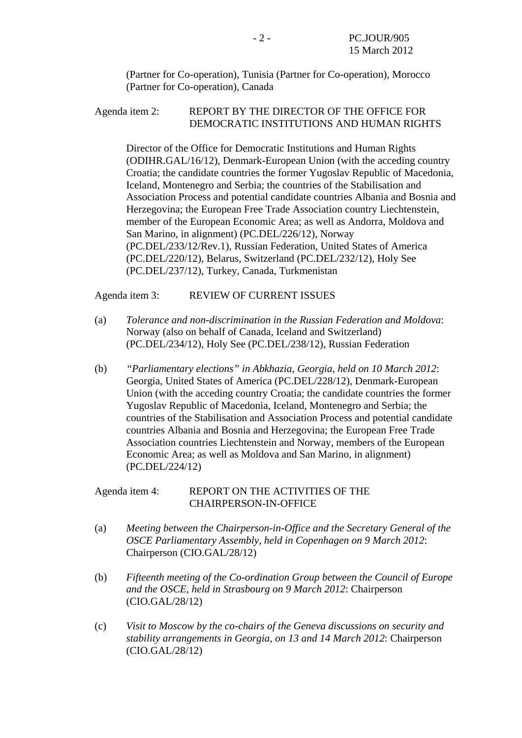(Partner for Co-operation), Tunisia (Partner for Co-operation), Morocco (Partner for Co-operation), Canada

## Agenda item 2: REPORT BY THE DIRECTOR OF THE OFFICE FOR DEMOCRATIC INSTITUTIONS AND HUMAN RIGHTS

Director of the Office for Democratic Institutions and Human Rights (ODIHR.GAL/16/12), Denmark-European Union (with the acceding country Croatia; the candidate countries the former Yugoslav Republic of Macedonia, Iceland, Montenegro and Serbia; the countries of the Stabilisation and Association Process and potential candidate countries Albania and Bosnia and Herzegovina; the European Free Trade Association country Liechtenstein, member of the European Economic Area; as well as Andorra, Moldova and San Marino, in alignment) (PC.DEL/226/12), Norway (PC.DEL/233/12/Rev.1), Russian Federation, United States of America (PC.DEL/220/12), Belarus, Switzerland (PC.DEL/232/12), Holy See (PC.DEL/237/12), Turkey, Canada, Turkmenistan

Agenda item 3: REVIEW OF CURRENT ISSUES

- (a) *Tolerance and non-discrimination in the Russian Federation and Moldova*: Norway (also on behalf of Canada, Iceland and Switzerland) (PC.DEL/234/12), Holy See (PC.DEL/238/12), Russian Federation
- (b) *"Parliamentary elections" in Abkhazia, Georgia, held on 10 March 2012*: Georgia, United States of America (PC.DEL/228/12), Denmark-European Union (with the acceding country Croatia; the candidate countries the former Yugoslav Republic of Macedonia, Iceland, Montenegro and Serbia; the countries of the Stabilisation and Association Process and potential candidate countries Albania and Bosnia and Herzegovina; the European Free Trade Association countries Liechtenstein and Norway, members of the European Economic Area; as well as Moldova and San Marino, in alignment) (PC.DEL/224/12)

### Agenda item 4: REPORT ON THE ACTIVITIES OF THE CHAIRPERSON-IN-OFFICE

- (a) *Meeting between the Chairperson-in-Office and the Secretary General of the OSCE Parliamentary Assembly, held in Copenhagen on 9 March 2012*: Chairperson (CIO.GAL/28/12)
- (b) *Fifteenth meeting of the Co-ordination Group between the Council of Europe and the OSCE, held in Strasbourg on 9 March 2012*: Chairperson (CIO.GAL/28/12)
- (c) *Visit to Moscow by the co-chairs of the Geneva discussions on security and stability arrangements in Georgia, on 13 and 14 March 2012*: Chairperson (CIO.GAL/28/12)